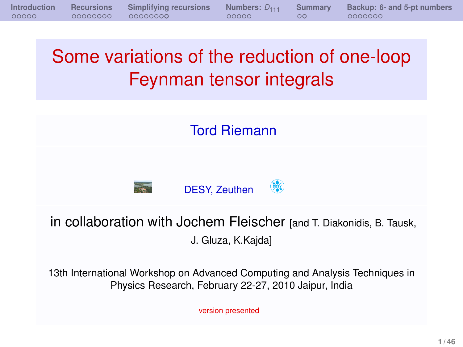# Some variations of the reduction of one-loop Feynman tensor integrals

Tord Riemann



in collaboration with Jochem Fleischer [and T. Diakonidis, B. Tausk, J. Gluza, K.Kajda]

13th International Workshop on Advanced Computing and Analysis Techniques in Physics Research, February 22-27, 2010 Jaipur, India

version presented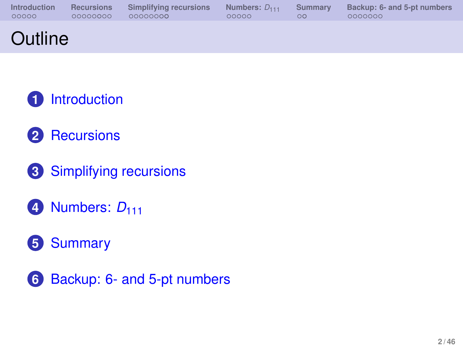| <b>Introduction</b> |          | Recursions Simplifying recursions | Numbers: $D_{111}$ |    | Summary Backup: 6- and 5-pt numbers |
|---------------------|----------|-----------------------------------|--------------------|----|-------------------------------------|
| 00000               | 00000000 | 00000000                          | loooo -            | ററ | - OOOOOOO                           |
|                     |          |                                   |                    |    |                                     |

# **Outline**

- **1** [Introduction](#page-2-0)
- **2** [Recursions](#page-7-0)
- **3** [Simplifying recursions](#page-16-0)
- **4** [Numbers:](#page-30-0)  $D_{111}$
- **5** [Summary](#page-35-0)
- **6** [Backup: 6- and 5-pt numbers](#page-39-0)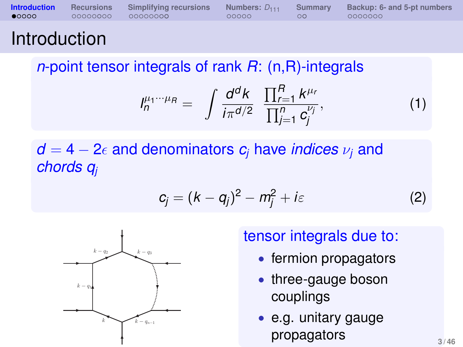| <b>Introduction</b> Recursions |          |          |       | Simplifying recursions Numbers: $D_{111}$ Summary Backup: 6- and 5-pt numbers |
|--------------------------------|----------|----------|-------|-------------------------------------------------------------------------------|
| $\bullet$ 0000                 | 00000000 | 00000000 | 00000 | 0000000                                                                       |
|                                |          |          |       |                                                                               |

## **Introduction**

*n*-point tensor integrals of rank *R*: (n,R)-integrals

$$
I_n^{\mu_1\cdots\mu_R} = \int \frac{d^dk}{i\pi^{d/2}} \frac{\prod_{r=1}^R k^{\mu_r}}{\prod_{j=1}^n c_j^{\nu_j}}, \qquad (1)
$$

## $d = 4 - 2\epsilon$  and denominators  $c_i$  have *indices*  $\nu_i$  and *chords q<sup>j</sup>*

$$
c_j = (k - q_j)^2 - m_j^2 + i\varepsilon
$$
 (2)



### tensor integrals due to:

- fermion propagators
- three-gauge boson couplings
- <span id="page-2-0"></span>e.g. unitary gauge propagators **3/46**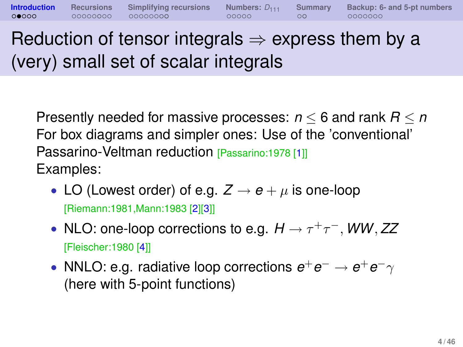Reduction of tensor integrals  $\Rightarrow$  express them by a (very) small set of scalar integrals

**[Introduction](#page-2-0) [Recursions](#page-7-0) [Simplifying recursions](#page-16-0) [Numbers:](#page-30-0)** *D*<sup>111</sup> **[Summary](#page-35-0) [Backup: 6- and 5-pt numbers](#page-39-0)**

Presently needed for massive processes: *n* ≤ 6 and rank *R* ≤ *n* For box diagrams and simpler ones: Use of the 'conventional' Passarino-Veltman reduction [Passarino:1978 [\[1\]](#page-36-0)] Examples:

- LO (Lowest order) of e.g.  $Z \rightarrow e + \mu$  is one-loop [Riemann:1981,Mann:1983 [\[2\]](#page-36-1)[\[3\]](#page-36-2)]
- NLO: one-loop corrections to e.g.  $H \rightarrow \tau^+\tau^-$ , *WW*, ZZ [Fleischer:1980 [\[4\]](#page-36-3)]
- NNLO: e.g. radiative loop corrections  $e^+e^- \rightarrow e^+e^-\gamma$ (here with 5-point functions)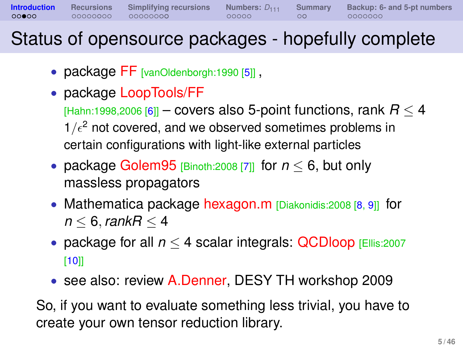**[Introduction](#page-2-0) [Recursions](#page-7-0) [Simplifying recursions](#page-16-0) [Numbers:](#page-30-0)**  $D_{111}$  **[Summary](#page-35-0) [Backup: 6- and 5-pt numbers](#page-39-0)**<br> **000000 00000000 00000000 000000 000000 0000000 0000000** 

# Status of opensource packages - hopefully complete

- package [FF](http://www.xs4all.nl/~gjvo/FF.html) [vanOldenborgh:1990 [\[5\]](#page-36-4)],
- package [LoopTools/FF](http://www.feynarts.de/looptools)
	- $[Hahn:1998,2006 [6]]$  $[Hahn:1998,2006 [6]]$  $[Hahn:1998,2006 [6]]$  covers also 5-point functions, rank  $R < 4$  $1/\epsilon^2$  not covered, and we observed sometimes problems in certain configurations with light-like external particles
- package [Golem95](http://lappweb.in2p3.fr/lapth/Golem/golem95.html) [Binoth:2008 [\[7\]](#page-36-6)] for *n* ≤ 6, but only massless propagators
- Mathematica package [hexagon.m](http://prac.us.edu.pl/~gluza/hexagon/) [Diakonidis:2008 [\[8,](#page-36-7) [9\]](#page-37-0)] for *n* ≤ 6, *rankR* ≤ 4
- package for all *n* ≤ 4 scalar integrals: [QCDloop](http://qcdloop.fnal.gov/) [Ellis:2007 [\[10\]](#page-37-1)]
- see also: review [A.Denner,](http://th-workshop2009.desy.de/sites/site_th-workshop2009/content/e59393/e59359/infoboxContent59362/Denner.pdf) DESY TH workshop 2009

So, if you want to evaluate something less trivial, you have to create your own tensor reduction library.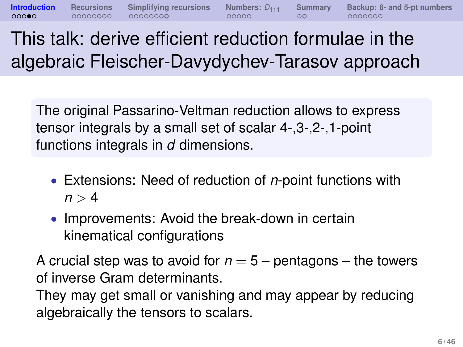The original Passarino-Veltman reduction allows to express tensor integrals by a small set of scalar 4-,3-,2-,1-point functions integrals in *d* dimensions.

- Extensions: Need of reduction of *n*-point functions with  $n > 4$
- Improvements: Avoid the break-down in certain kinematical configurations

A crucial step was to avoid for  $n = 5$  – pentagons – the towers of inverse Gram determinants.

They may get small or vanishing and may appear by reducing algebraically the tensors to scalars.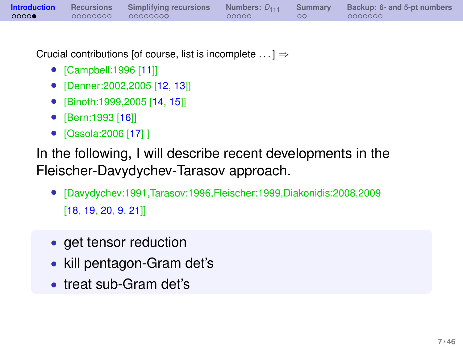| <b>Introduction</b> Recursions |          | Simplifying recursions |       | Numbers: $D_{111}$ Summary Backup: 6- and 5-pt numbers |
|--------------------------------|----------|------------------------|-------|--------------------------------------------------------|
| 0000                           | 00000000 | 00000000               | 00000 | 0000000                                                |

Crucial contributions [of course, list is incomplete  $\dots$ ]  $\Rightarrow$ 

- [Campbell:1996 [\[11\]](#page-37-2)]
- [Denner:2002,2005 [\[12,](#page-37-3) [13\]](#page-37-4)]<br>● [Binoth:1999 2005 [14, 15]]
- [Binoth:1999,2005 [\[14,](#page-37-5) [15\]](#page-37-6)]
- [Bern:1993 [\[16\]](#page-37-7)]
- [Ossola:2006 [\[17\]](#page-37-8) ]

In the following, I will describe recent developments in the Fleischer-Davydychev-Tarasov approach.

- [Davydychev:1991,Tarasov:1996,Fleischer:1999,Diakonidis:2008,2009 [\[18,](#page-38-0) [19,](#page-38-1) [20,](#page-38-2) [9,](#page-37-0) [21\]](#page-38-3)]
- get tensor reduction
- kill pentagon-Gram det's
- treat sub-Gram det's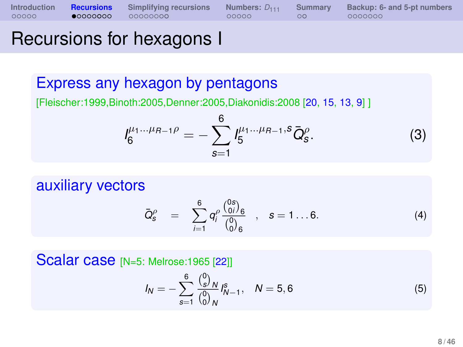## Recursions for hexagons I

### Express any hexagon by pentagons

[Fleischer:1999,Binoth:2005,Denner:2005,Diakonidis:2008 [\[20,](#page-38-2) [15,](#page-37-6) [13,](#page-37-4) [9\]](#page-37-0) ]

$$
I_6^{\mu_1...\mu_{R-1}\rho} = -\sum_{s=1}^6 I_5^{\mu_1...\mu_{R-1},s} \bar{Q}_s^{\rho}.
$$
 (3)

auxiliary vectors

$$
\bar{Q}_{s}^{\rho} = \sum_{i=1}^{6} q_{i}^{\rho} \frac{\binom{0s}{0i}}{\binom{0}{0s}} , \quad s = 1 ... 6.
$$
 (4)

**Scalar case** [N=5: Melrose:1965 [\[22\]](#page-38-4)]

 $\overline{\overline{C}}$ 

<span id="page-7-0"></span>
$$
I_N = -\sum_{s=1}^{6} \frac{\binom{0}{s}^N}{\binom{0}{0}^N} I_{N-1}^s, \quad N = 5, 6 \tag{5}
$$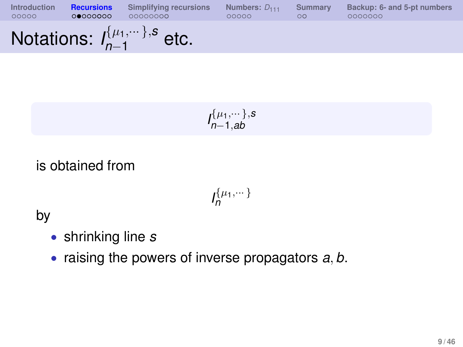| Introduction | <b>Recursions</b> | Simplifying recursions                         | Numbers: $D_{111}$ | <b>Summary</b> | Backup: 6- and 5-pt numbers |
|--------------|-------------------|------------------------------------------------|--------------------|----------------|-----------------------------|
| 00000        | 00000000          | 00000000                                       | 00000              | $\circ$        | 0000000                     |
|              |                   | Notations: $I_{n-1}^{\{\mu_1,\cdots\},s}$ etc. |                    |                |                             |

$$
I_{n-1,ab}^{\{\mu_1,\cdots\},s}
$$

is obtained from

 $I_{n}^{\{\mu_{1},\cdots\}}$ 

by

- shrinking line *s*
- raising the powers of inverse propagators *a*, *b*.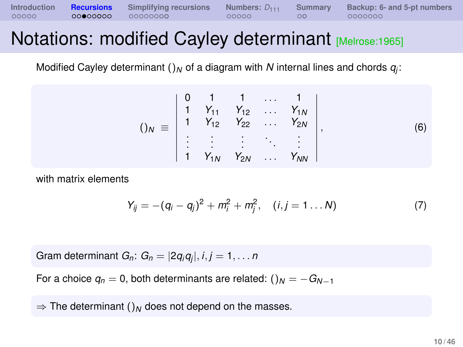**[Introduction](#page-2-0) [Recursions](#page-7-0) [Simplifying recursions](#page-16-0) [Numbers:](#page-30-0)**  $D_{111}$  **[Summary](#page-35-0) [Backup: 6- and 5-pt numbers](#page-39-0)**<br>000000 **0000000 00000000** 0000000 000000 000000

## Notations: modified Cayley determinant [Melrose:1965]

Modified Cayley determinant ()<sub>N</sub> of a diagram with  $N$  internal lines and chords  $q_j$ :

$$
()_{N} \equiv \begin{vmatrix} 0 & 1 & 1 & \dots & 1 \\ 1 & Y_{11} & Y_{12} & \dots & Y_{1N} \\ 1 & Y_{12} & Y_{22} & \dots & Y_{2N} \\ \vdots & \vdots & \vdots & \ddots & \vdots \\ 1 & Y_{1N} & Y_{2N} & \dots & Y_{NN} \end{vmatrix}, \qquad (6)
$$

with matrix elements

$$
Y_{ij} = -(q_i - q_j)^2 + m_i^2 + m_j^2, \quad (i, j = 1...N)
$$
 (7)

Gram determinant *Gn*: *G<sup>n</sup>* = |2*qiq<sup>j</sup>* |, *i*, *j* = 1, . . . *n*

For a choice  $q_n = 0$ , both determinants are related:  $\left(\right)_N = -G_{N-1}$ 

 $\Rightarrow$  The determinant ()<sub>*N*</sub> does not depend on the masses.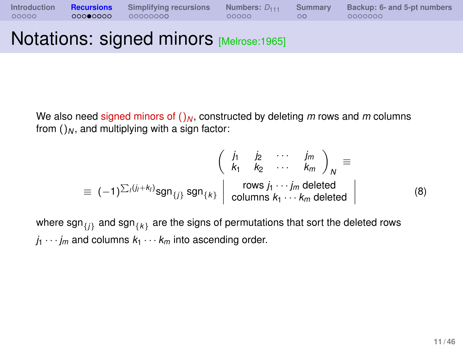**[Introduction](#page-2-0) [Recursions](#page-7-0) [Simplifying recursions](#page-16-0) [Numbers:](#page-30-0)**  $D_{111}$  **[Summary](#page-35-0) [Backup: 6- and 5-pt numbers](#page-39-0)**<br>000000 **00000000** 00000000 000000 00000 000000

# **Notations: signed minors [Melrose:1965]**

We also need signed minors of  $()_N$ , constructed by deleting *m* rows and *m* columns from  $()_N$ , and multiplying with a sign factor:

$$
\begin{pmatrix}\n\dot{j}_1 & \dot{j}_2 & \cdots & \dot{j}_m \\
k_1 & k_2 & \cdots & k_m\n\end{pmatrix}_N \equiv
$$
\n
$$
\equiv (-1)^{\sum_j (j_j + k_j)} \text{sgn}_{\{j\}} \text{sgn}_{\{k\}} \begin{vmatrix}\n\text{rows } j_1 \cdots j_m \text{ deleted} \\
\text{columns } k_1 \cdots k_m \text{ deleted}\n\end{vmatrix}
$$
\n(8)

where  $\mathsf{sgn}_{\{j\}}$  and  $\mathsf{sgn}_{\{k\}}$  are the signs of permutations that sort the deleted rows  $j_1 \cdots j_m$  and columns  $k_1 \cdots k_m$  into ascending order.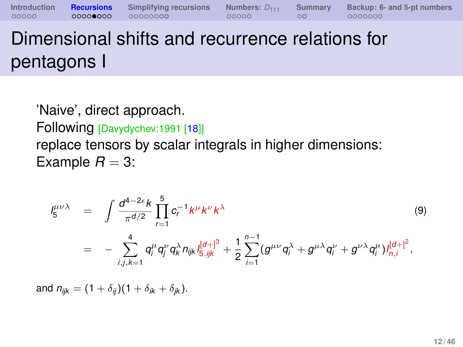# Dimensional shifts and recurrence relations for pentagons I

'Naive', direct approach. Following [Davydychev:1991 [\[18\]](#page-38-0)] replace tensors by scalar integrals in higher dimensions: Example  $R = 3$ :

$$
I_5^{\mu\nu\lambda} = \int \frac{d^{4-2\epsilon}k}{\pi^{d/2}} \prod_{r=1}^5 c_r^{-1} k^{\mu} k^{\nu} k^{\lambda}
$$
\n
$$
= - \sum_{i,j,k=1}^4 q_i^{\mu} q_j^{\nu} q_k^{\lambda} n_{ijk} l_{5,ijk}^{[d+]^3} + \frac{1}{2} \sum_{i=1}^{n-1} (g^{\mu\nu} q_i^{\lambda} + g^{\mu\lambda} q_i^{\nu} + g^{\nu\lambda} q_i^{\mu}) l_{n,i}^{[d+]^2},
$$
\n(9)

and  $n_{ijk} = (1 + \delta_{ij})(1 + \delta_{ik} + \delta_{ik}).$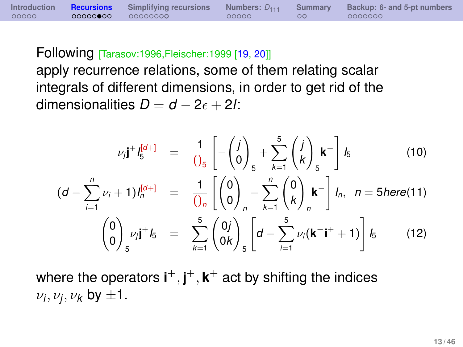Following [Tarasov:1996,Fleischer:1999 [\[19,](#page-38-1) [20\]](#page-38-2)]

apply recurrence relations, some of them relating scalar integrals of different dimensions, in order to get rid of the dimensionalities  $D = d - 2\epsilon + 2l$ :

<span id="page-12-0"></span>
$$
\nu_{j}j^{+}l_{5}^{[d+]} = \frac{1}{\left(\int_{S}\right)}\left[-\left(\begin{matrix}j\\0\end{matrix}\right)_{5} + \sum_{k=1}^{5}\left(\begin{matrix}j\\k\end{matrix}\right)_{5}k^{-}\right]I_{5}
$$
(10)  

$$
(d - \sum_{i=1}^{n} \nu_{i} + 1)I_{n}^{[d+]} = \frac{1}{\left(\int_{0}^{1}\right)}\left(\begin{matrix}0\\0\end{matrix}\right)_{n} - \sum_{k=1}^{n}\left(\begin{matrix}0\\k\end{matrix}\right)_{n}k^{-}\right]I_{n}, n = 5here(11)
$$

$$
\left(\begin{matrix}0\\0\end{matrix}\right)_{5} \nu_{j}j^{+}I_{5} = \sum_{k=1}^{5}\left(\begin{matrix}0j\\0k\end{matrix}\right)_{5}\left[d - \sum_{i=1}^{5} \nu_{i}(k^{-}j^{+} + 1)\right]I_{5}
$$
(12)

where the operators  $\mathbf{i}^{\pm}, \mathbf{j}^{\pm}, \mathbf{k}^{\pm}$  act by shifting the indices  $\nu_j, \nu_j, \nu_k$  by  $\pm 1$ .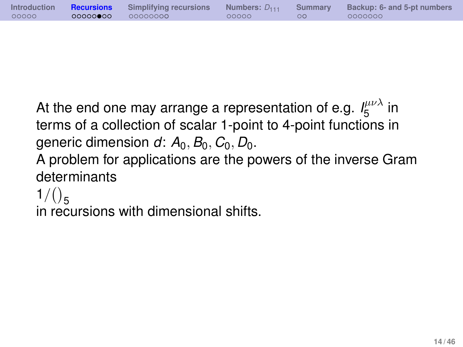|       |                   |       | Introduction Recursions Simplifying recursions Numbers: $D_{111}$ Summary Backup: 6- and 5-pt numbers |
|-------|-------------------|-------|-------------------------------------------------------------------------------------------------------|
| 00000 | 00000000 00000000 | 00000 | 0000000                                                                                               |

At the end one may arrange a representation of e.g.  $I_{5}^{\mu\nu\lambda}$  $\int_5^{\mu\nu}$  in terms of a collection of scalar 1-point to 4-point functions in generic dimension  $d: A_0, B_0, C_0, D_0$ .

A problem for applications are the powers of the inverse Gram determinants

 $1/(25)$ 

in recursions with dimensional shifts.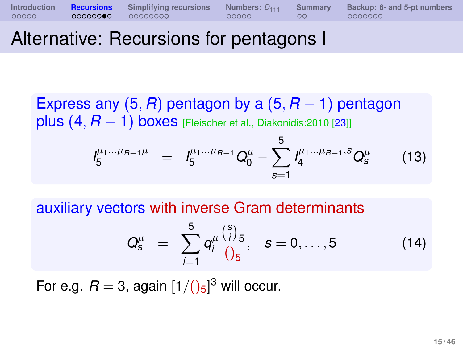# Alternative: Recursions for pentagons I

Express any  $(5, R)$  pentagon by a  $(5, R - 1)$  pentagon plus  $(4, R - 1)$  boxes [Fleischer et al., Diakonidis:2010 [\[23\]](#page-38-5)]

$$
I_5^{\mu_1...\mu_{R-1}\mu} = I_5^{\mu_1...\mu_{R-1}} Q_0^{\mu} - \sum_{s=1}^5 I_4^{\mu_1...\mu_{R-1},s} Q_s^{\mu}
$$
 (13)

auxiliary vectors with inverse Gram determinants

$$
Q_{s}^{\mu} = \sum_{i=1}^{5} q_{i}^{\mu} \frac{{s \choose i}}{0.5}, \quad s = 0, \ldots, 5
$$
 (14)

For e.g.  $R = 3$ , again  $[1/(\mathcal{C})_5]^3$  will occur.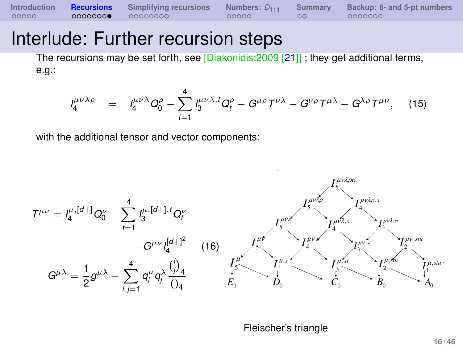### Interlude: Further recursion steps

The recursions may be set forth, see [Diakonidis:2009 [\[21\]](#page-38-3)] ; they get additional terms, e.g.:

$$
J_4^{\mu\nu\lambda\rho} = J_4^{\mu\nu\lambda} Q_0^{\rho} - \sum_{t=1}^4 J_3^{\mu\nu\lambda,t} Q_t^{\rho} - G^{\mu\rho} T^{\nu\lambda} - G^{\nu\rho} T^{\mu\lambda} - G^{\lambda\rho} T^{\mu\nu}, \quad (15)
$$

with the additional tensor and vector components:



Fleischer's triangle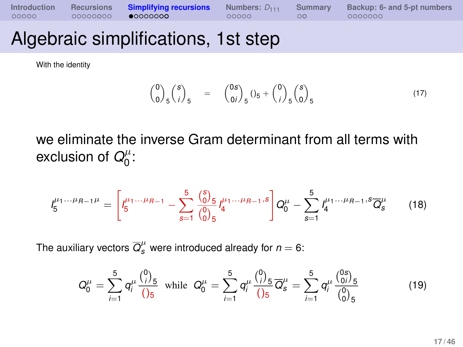| Introduction |          | Recursions <b>Simplifying recursions</b> Numbers: $D_{111}$ |       | Summary | Backup: 6- and 5-pt numbers |
|--------------|----------|-------------------------------------------------------------|-------|---------|-----------------------------|
| 00000        | 00000000 | $\bullet$ 0000000                                           | 00000 | $\circ$ | 0000000                     |

# Algebraic simplifications, 1st step

With the identity

$$
{0 \choose 0}_{5} {s \choose i}_{5} = {0s \choose 0i}_{5} (3_{5} + {0 \choose i}_{5} {s \choose 0}_{5}
$$
\n(17)

we eliminate the inverse Gram determinant from all terms with exclusion of  $Q_0^{\mu}$  $\begin{matrix} \mu & \ 0 & \end{matrix}$ 

$$
I_5^{\mu_1\dots\mu_{R-1}\mu} = \left[ I_5^{\mu_1\dots\mu_{R-1}} - \sum_{s=1}^5 \frac{\binom{s}{0}}{\binom{0}{0}} \frac{s}{4} I_4^{\mu_1\dots\mu_{R-1},s} \right] Q_0^{\mu} - \sum_{s=1}^5 I_4^{\mu_1\dots\mu_{R-1},s} \overline{Q}_s^{\mu} \tag{18}
$$

The auxiliary vectors  $\overline{Q}_{\rm s}^\mu$  were introduced already for  $n=6$ :

<span id="page-16-0"></span>
$$
Q_0^{\mu} = \sum_{i=1}^5 q_i^{\mu} \frac{\binom{0}{i}}{\binom{5}{5}} \text{ while } Q_0^{\mu} = \sum_{i=1}^5 q_i^{\mu} \frac{\binom{0}{i}}{\binom{5}{5}} \overline{Q}_s^{\mu} = \sum_{i=1}^5 q_i^{\mu} \frac{\binom{0s}{0i}}{\binom{0}{0}} \frac{5}{5}
$$
(19)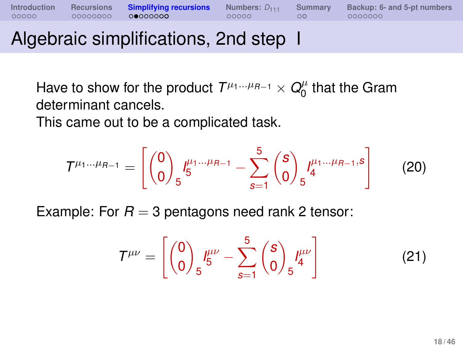## Algebraic simplifications, 2nd step I

Have to show for the product  $T^{\mu_1...\mu_{R-1}} \times Q^{\mu}_0$  $\int_0^\mu$  that the Gram determinant cancels.

This came out to be a complicated task.

$$
T^{\mu_1\dots\mu_{R-1}} = \left[ \binom{0}{0}_{5} I_5^{\mu_1\dots\mu_{R-1}} - \sum_{s=1}^{5} \binom{s}{0}_{5} I_4^{\mu_1\dots\mu_{R-1},s} \right] \tag{20}
$$

Example: For  $R = 3$  pentagons need rank 2 tensor:

$$
\mathcal{T}^{\mu\nu} = \left[ \begin{pmatrix} 0 \\ 0 \end{pmatrix}_{5} I^{\mu\nu}_{5} - \sum_{s=1}^{5} \begin{pmatrix} s \\ 0 \end{pmatrix}_{5} I^{\mu\nu}_{4} \right] \tag{21}
$$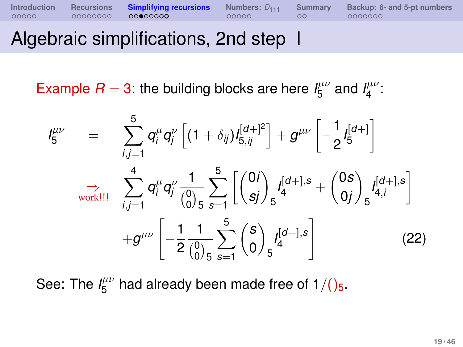**[Introduction](#page-2-0) [Recursions](#page-7-0) [Simplifying recursions](#page-16-0) [Numbers:](#page-30-0)**  $D_{111}$  [Summary](#page-35-0) [Backup: 6- and 5-pt numbers](#page-39-0)  $00000$  **complexions**  $00000$  **complexions**  $000000$  **complexions** 

## Algebraic simplifications, 2nd step I

Example  $R = 3$ : the building blocks are here  $I_5^{\mu\nu}$  $J_5^{\mu\nu}$  and  $J_4^{\mu\nu}$  $\frac{\mu\nu}{4}$ :

$$
I_{5}^{\mu\nu} = \sum_{i,j=1}^{5} q_{i}^{\mu} q_{j}^{\nu} \left[ (1+\delta_{ij}) I_{5,ij}^{[d+]}^{[d+]} \right] + g^{\mu\nu} \left[ -\frac{1}{2} I_{5}^{[d+]} \right]
$$
  
\n
$$
\Rightarrow \sum_{\text{workIII}}^{4} q_{i}^{\mu} q_{j}^{\nu} \frac{1}{\binom{0}{0}} \sum_{s=1}^{5} \left[ \binom{0i}{sj} I_{4}^{[d+]} \right] s + \binom{0s}{0j} I_{4,i}^{[d+]} \left[ -\frac{1}{2} \frac{1}{\binom{0}{0}} \sum_{s=1}^{5} \binom{s}{0} I_{4}^{[d+]} \right]
$$
(22)

See: The  $I^{\mu\nu}_{5}$  $_5^{\mu\nu}$  had already been made free of 1/()<sub>5</sub>.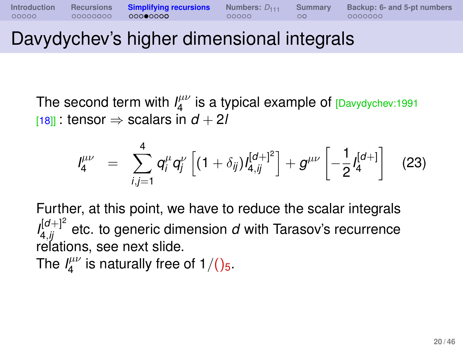# Davydychev's higher dimensional integrals

The second term with  $I_4^{\mu\nu}$  $\frac{\mu\nu}{4}$  is a typical example of  $\frac{1}{2}$  Davydychev:1991  $[18]$  tensor  $\Rightarrow$  scalars in  $d + 2l$ 

$$
I_4^{\mu\nu} = \sum_{i,j=1}^4 q_i^{\mu} q_j^{\nu} \left[ (1+\delta_{ij}) I_{4,ij}^{[d+]}{}^2 \right] + g^{\mu\nu} \left[ -\frac{1}{2} I_4^{[d+]} \right] \quad (23)
$$

Further, at this point, we have to reduce the scalar integrals  $I_{4,ij}^{[d+]^{2}}$  etc. to generic dimension  $d$  with Tarasov's recurrence relations, see next slide.

The  $I_4^{\mu\nu}$  $\frac{d\mu\nu}{4}$  is naturally free of 1/()<sub>5</sub>.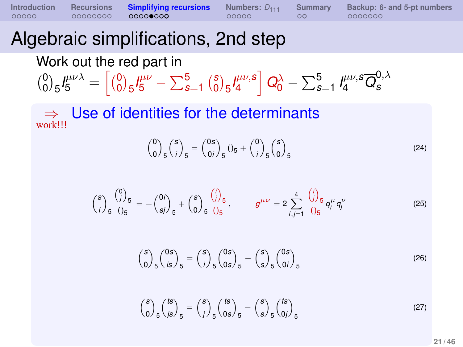**[Introduction](#page-2-0) [Recursions](#page-7-0) [Simplifying recursions](#page-16-0)** [Numbers:](#page-30-0)  $D_{111}$  [Summary](#page-35-0) [Backup: 6- and 5-pt numbers](#page-39-0)  $0.0000$  **comparisons**  $0.0000$  **comparisons**  $0.00000$  **comparisons** 

# Algebraic simplifications, 2nd step

Work out the red part in

$$
\binom{0}{0} 5 l^{\mu\nu\lambda}_5 = \left[ \binom{0}{0} 5 l^{\mu\nu}_5 - \sum_{s=1}^5 \binom{s}{0} 5 l^{\mu\nu,s}_4 \right] Q_0^{\lambda} - \sum_{s=1}^5 l^{\mu\nu,s}_4 \overline{Q}_s^{0,\lambda}
$$

⇒ work!!! Use of identities for the determinants

$$
{0 \choose 0}_{5} {s \choose i}_{5} = {0s \choose 0i}_{5} (1_{5} + {0 \choose i}_{5} {s \choose 0}_{5}
$$
 (24)

$$
\binom{s}{i}\frac{\binom{0}{j}}{s}\frac{6}{0s} = -\binom{0i}{sj}_5 + \binom{0}{0}\frac{\binom{j}{j}}{s}\frac{6}{0s}, \qquad g^{\mu\nu} = 2\sum_{i,j=1}^4 \frac{\binom{j}{j}}{0s}q_i^{\mu}q_j^{\nu}
$$
(25)

$$
\binom{S}{0}{}_{5}\binom{0s}{is}_{5} = \binom{S}{i}_{5}\binom{0s}{0s}_{5} - \binom{S}{s}_{5}\binom{0s}{0i}_{5}
$$
(26)

$$
\binom{s}{0}_5 \binom{ts}{js}_5 = \binom{s}{j}_5 \binom{ts}{0s}_5 - \binom{s}{s}_5 \binom{ts}{0j}_5 \tag{27}
$$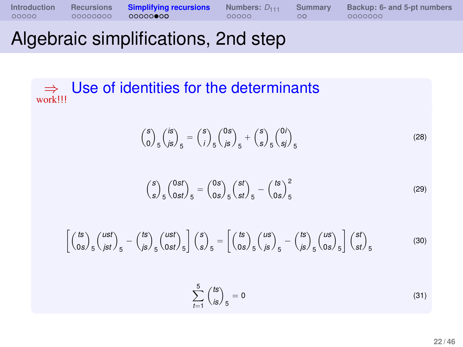# Algebraic simplifications, 2nd step

#### ⇒ work!!! Use of identities for the determinants

$$
{s \choose 0} \frac{1}{5} {s \choose j5} = {s \choose j} \frac{1}{5} {s \choose j5} \frac{1}{5} + {s \choose s} \frac{1}{5} {s \choose sj} \frac{1}{5}
$$
(28)

$$
\binom{S}{S}_5 \binom{0st}{0st}_5 = \binom{0s}{0s}_5 \binom{st}{st}_5 - \binom{ts}{0s}_5^2 \tag{29}
$$

$$
\left[\left(\frac{ts}{0s}\right)_{5}\left(\frac{ust}{jst}\right)_{5} - \left(\frac{ts}{js}\right)_{5}\left(\frac{ust}{0st}\right)_{5}\right]\left(\frac{s}{s}\right)_{5} = \left[\left(\frac{ts}{0s}\right)_{5}\left(\frac{us}{js}\right)_{5} - \left(\frac{ts}{js}\right)_{5}\left(\frac{us}{0s}\right)_{5}\right]\left(\frac{st}{st}\right)_{5}
$$
(30)  

$$
\sum_{t=1}^{5} \left(\frac{ts}{is}\right)_{5} = 0
$$
(31)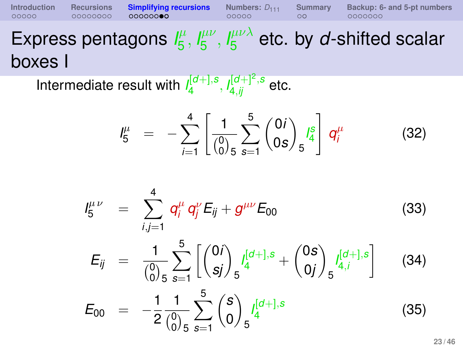#### **[Introduction](#page-2-0) [Recursions](#page-7-0) [Simplifying recursions](#page-16-0) [Numbers:](#page-30-0)**  $D_{111}$  [Summary](#page-35-0) [Backup: 6- and 5-pt numbers](#page-39-0)  $0.00000$  **comparisons**  $0.000000$  **comparisons**  $0.0000000$ Express pentagons  $I_5^{\mu}$  $\frac{1}{5}$ ,  $I_5^{\mu\nu}$  $^{\mu\nu}_{\mathbf{5}}, \mathsf{l}^{\mu\nu\lambda}_{\mathbf{5}}$  $\frac{\mu\nu\lambda}{5}$  etc. by *d*-shifted scalar boxes I

Intermediate result with *I* [*d*+],*s* ,*l*<sup>[d+]<sup>2</sup>,s</sup> etc.

<span id="page-22-1"></span><span id="page-22-0"></span>
$$
I_5^{\mu} = -\sum_{i=1}^4 \left[ \frac{1}{\binom{0}{0}} \sum_{s=1}^5 \binom{0i}{0s} \frac{I_5^s}{s^4} \right] q_i^{\mu} \qquad (32)
$$

$$
I_{5}^{\mu\nu} = \sum_{i,j=1}^{4} q_{i}^{\mu} q_{j}^{\nu} E_{ij} + g^{\mu\nu} E_{00}
$$
 (33)  

$$
E_{ij} = \frac{1}{\binom{0}{0}} \sum_{s=1}^{5} \left[ \binom{0i}{sj} \int_{5}^{l_{4}^{(d+1),s}} + \binom{0s}{0j} \int_{5}^{l_{4,j}^{(d+1),s}} \right]
$$
 (34)  

$$
E_{00} = -\frac{1}{2} \frac{1}{\binom{0}{0}} \sum_{s=1}^{5} \binom{s}{0} \int_{5}^{l_{4}^{(d+1),s}} \tag{35}
$$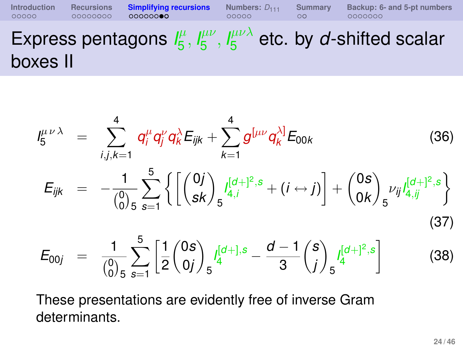Express pentagons  $I_5^{\mu}$  $\frac{1}{5}$ ,  $I_5^{\mu\nu}$  $^{\mu\nu}_{\mathbf{5}}, \mathsf{l}^{\mu\nu\lambda}_{\mathbf{5}}$  $\frac{\mu\nu\lambda}{5}$  etc. by *d*-shifted scalar boxes II

**[Introduction](#page-2-0) [Recursions](#page-7-0) [Simplifying recursions](#page-16-0) [Numbers:](#page-30-0)**  $D_{111}$  [Summary](#page-35-0) [Backup: 6- and 5-pt numbers](#page-39-0)  $0.00000$  **comparisons**  $0.000000$  **comparisons**  $0.0000000$ 

$$
I_{5}^{\mu\nu\lambda} = \sum_{i,j,k=1}^{4} q_{i}^{\mu} q_{j}^{\nu} q_{k}^{\lambda} E_{ijk} + \sum_{k=1}^{4} g^{[\mu\nu} q_{k}^{\lambda]} E_{00k}
$$
(36)  

$$
E_{ijk} = -\frac{1}{\binom{0}{0}} \sum_{s=1}^{5} \left\{ \left[ \binom{0j}{sk} \int_{s} \frac{I_{4,j}^{[d+]^{2},s} + (i \leftrightarrow j)}{4j} \right] + \binom{0s}{0k} \int_{s} \nu_{ij} I_{4,j}^{[d+]^{2},s} \right\}
$$
(37)  

$$
E_{00j} = \frac{1}{\binom{0}{0}} \sum_{s=1}^{5} \left[ \frac{1}{2} \binom{0s}{0j} \int_{s} \frac{I_{4}^{[d+]^{2},s} - \frac{d-1}{3} \binom{s}{j} \int_{s} \frac{I_{4}^{[d+]^{2},s}}{4} \right]
$$
(38)

These presentations are evidently free of inverse Gram determinants.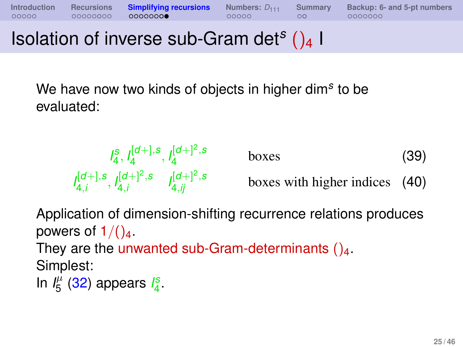Isolation of inverse sub-Gram det*<sup>s</sup>* ()<sup>4</sup> I

We have now two kinds of objects in higher dim*<sup>s</sup>* to be evaluated:

$$
I_4^S, I_4^{[d+],s}, I_4^{[d+]^2,s} \qquad \text{boxes} \qquad (39)
$$
  

$$
I_{4,i}^{[d+],s}, I_{4,i}^{[d+]^2,s} \qquad I_{4,ij}^{[d+]^2,s} \qquad \text{boxes with higher indices} \quad (40)
$$

Application of dimension-shifting recurrence relations produces powers of  $1/()_4$ .

They are the unwanted sub-Gram-determinants  $()_4$ . Simplest:

In  $I_5^{\mu}$  $J_5^{\mu}$  [\(32\)](#page-22-0) appears  $J_4^s$ .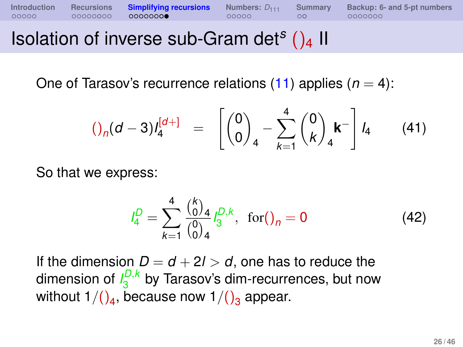Isolation of inverse sub-Gram det*<sup>s</sup>* ()<sup>4</sup> II

One of Tarasov's recurrence relations  $(11)$  applies  $(n = 4)$ :

**[Introduction](#page-2-0) [Recursions](#page-7-0) [Simplifying recursions](#page-16-0) [Numbers:](#page-30-0)**  $D_{111}$  [Summary](#page-35-0) [Backup: 6- and 5-pt numbers](#page-39-0)  $0.00000$  **computers**  $0.000000$  **computers** 

$$
()_{n}(d-3)l_{4}^{[d+]} = \begin{bmatrix} 0 \\ 0 \end{bmatrix}_{4} - \sum_{k=1}^{4} {0 \choose k}_{4} k^{-} l_{4} \qquad (41)
$$

So that we express:

$$
I_4^D = \sum_{k=1}^4 \frac{\binom{k}{0}}{\binom{0}{0}_4} I_3^{D,k}, \text{ for } ( )_n = 0
$$
 (42)

If the dimension  $D = d + 2l > d$ , one has to reduce the dimension of  $I_3^{D,k}$  $\frac{d^{D,\kappa}}{3}$  by Tarasov's dim-recurrences, but now without 1/()<sub>4</sub>, because now 1/()<sub>3</sub> appear.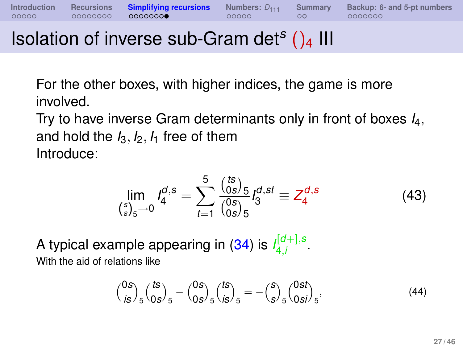# Isolation of inverse sub-Gram det*<sup>s</sup>* ()<sup>4</sup> III

For the other boxes, with higher indices, the game is more involved.

Try to have inverse Gram determinants only in front of boxes *I*4, and hold the  $I_3$ ,  $I_2$ ,  $I_1$  free of them Introduce:

$$
\lim_{\binom{s}{s}_5 \to 0} I_4^{d,s} = \sum_{t=1}^5 \frac{\binom{ts}{0s}_5}{\binom{0s}{0s}_5} I_3^{d,st} \equiv Z_4^{d,s} \tag{43}
$$

A typical example appearing in [\(34\)](#page-22-1) is  $I^{\left[d+\right],s}_{4i}$ י<sup>µ</sup>ט<sub>ון</sub>.•<br>4,*i* With the aid of relations like

$$
{0s \choose is}_5 {ts \choose 0s}_5 - {0s \choose 0s}_5 {ts \choose is}_5 = -{s \choose s}_5 {0st \choose 0si}_5,
$$
(44)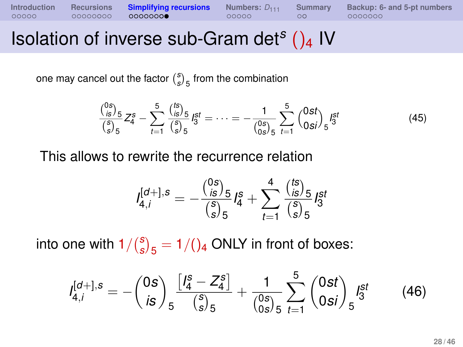# Isolation of inverse sub-Gram det*<sup>s</sup>* ()<sup>4</sup> IV

one may cancel out the factor  $\binom{s}{s}_5$  from the combination

$$
\frac{\binom{0s}{s}}{\binom{s}{s}} \frac{1}{s} Z_4^s - \sum_{t=1}^5 \frac{\binom{ts}{s}}{\binom{s}{s}} \frac{1}{s} S_3^t = \dots = -\frac{1}{\binom{0s}{0s}} \sum_{5}^5 \binom{0st}{0st} S_5^{st} \tag{45}
$$

This allows to rewrite the recurrence relation

$$
I_{4,i}^{[d+],s} = -\frac{\binom{0s}{is}}{\binom{s}{s}s} I_4^s + \sum_{t=1}^4 \frac{\binom{ts}{is}}{\binom{s}{s}s} I_3^{st}
$$

into one with  $1/\binom{S}{S}$  $\binom{s}{s}_5 = 1/()_4$  ONLY in front of boxes:

$$
I_{4,i}^{[d+],s} = -\binom{0s}{is} \frac{\left[ I_4^s - Z_4^s \right]}{\binom{s}{s}_5} + \frac{1}{\binom{0s}{0s}_5} \sum_{t=1}^5 \binom{0st}{0si}_5 I_5^{st} \tag{46}
$$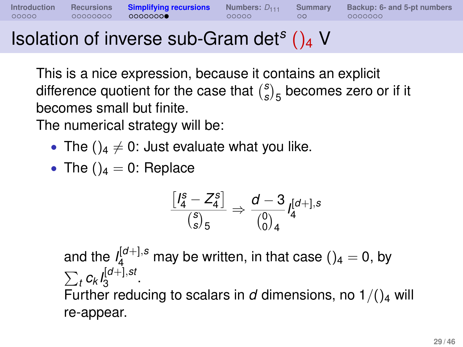# Isolation of inverse sub-Gram det*<sup>s</sup>* ()<sup>4</sup> V

This is a nice expression, because it contains an explicit difference quotient for the case that *s*  $S_{s}^{s}$ <sub>5</sub> becomes zero or if it becomes small but finite.

The numerical strategy will be:

- The  $()_4 \neq 0$ : Just evaluate what you like.
- The  $()_4 = 0$ : Replace

$$
\frac{\left[ \mathsf{l}_4^{\mathcal{S}} - Z_4^{\mathcal{S}}\right]}{\binom{\mathcal{S}}{\mathcal{S}}_5} \Rightarrow \frac{d-3}{\binom{0}{0}_4} \mathsf{I}_4^{[d+],s}
$$

and the  $I_4^{[d+],s}$  may be written, in that case ()<sub>4</sub> = 0, by  $\sum_{t} c_{k} I_{3}^{[d+] , st}$ <sub>ll</sub>u+j,sı<br>3 Further reducing to scalars in  $d$  dimensions, no  $1/(2)$  will re-appear.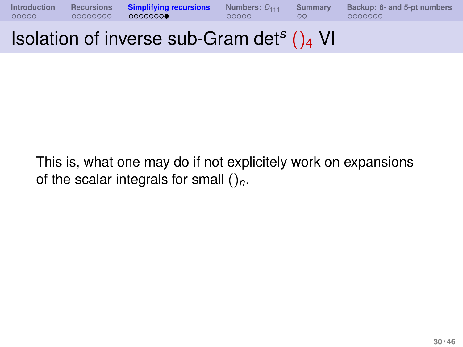

# Isolation of inverse sub-Gram det*<sup>s</sup>* ()<sup>4</sup> VI

This is, what one may do if not explicitely work on expansions of the scalar integrals for small ()*n*.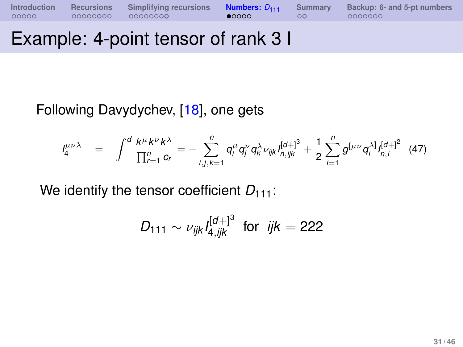**[Introduction](#page-2-0) [Recursions](#page-7-0) [Simplifying recursions](#page-16-0) <b>[Numbers:](#page-30-0)**  $D_{111}$  [Summary](#page-35-0) [Backup: 6- and 5-pt numbers](#page-39-0) <br>000000 00000000 00000000 **000000** 00000 000000

## Example: 4-point tensor of rank 3 I

Following Davydychev, [\[18\]](#page-38-0), one gets

$$
J_4^{\mu\nu\lambda} = \int^d \frac{k^{\mu}k^{\nu}k^{\lambda}}{\prod_{r=1}^n c_r} = -\sum_{i,j,k=1}^n q_i^{\mu} q_j^{\nu} q_k^{\lambda} \nu_{ijk} I_{n,ijk}^{[d+]^3} + \frac{1}{2} \sum_{i=1}^n g^{[\mu\nu} q_i^{\lambda]} I_{n,i}^{[d+]^2} (47)
$$

We identify the tensor coefficient  $D_{111}$ :

<span id="page-30-0"></span>
$$
D_{111} \sim \nu_{ijk} I_{4,jik}^{[d+]}^3 \text{ for } ijk = 222
$$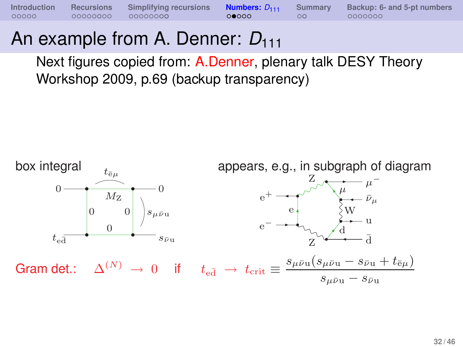## An example from A. Denner:  $D_{111}$

Next figures copied from: [A.Denner,](http://th-workshop2009.desy.de/sites/site_th-workshop2009/content/e59393/e59359/infoboxContent59362/Denner.pdf) plenary talk DESY Theory Workshop 2009, p.69 (backup transparency)

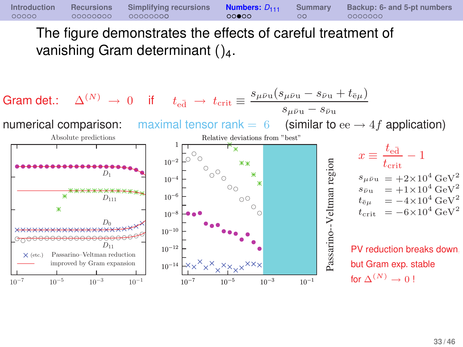The figure demonstrates the effects of careful treatment of vanishing Gram determinant  $()$ <sub>4</sub>.

**[Introduction](#page-2-0) [Recursions](#page-7-0) [Simplifying recursions](#page-16-0) <b>[Numbers:](#page-30-0)**  $D_{111}$  [Summary](#page-35-0) [Backup: 6- and 5-pt numbers](#page-39-0) <br>000000 00000000 00000000 000000 00000

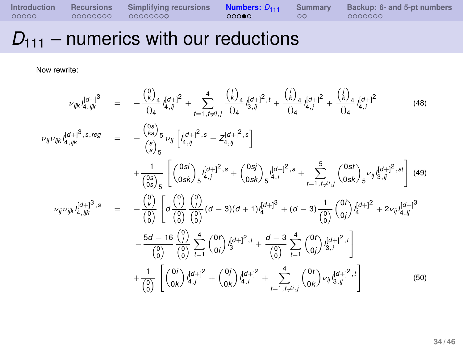# $D_{111}$  – numerics with our reductions

Now rewrite:

$$
\nu_{ijk} I_{4,ijk}^{[d+1]} = -\frac{\binom{0}{k}}{\binom{0}{4}} I_{4,ij}^{[d+1]} + \sum_{t=1,\,t\neq i,j}^{4} \frac{\binom{t}{k}}{\binom{1}{4}} I_{3,ij}^{[d+1]} + \frac{\binom{t}{k}}{\binom{1}{4}} I_{4,j}^{[d+1]} + \frac{\binom{t}{k}}{\binom{1}{4}} I_{4,i}^{[d+1]} \tag{48}
$$
\n
$$
\nu_{ij} \nu_{ijk} I_{4,ijk}^{[d+1]} = -\frac{\binom{0}{k}}{\binom{0}{5}} E_{ij} \left[ I_{4,ij}^{[d+1]^2,5} - Z_{4,ij}^{[d+1]^2,5} \right]
$$
\n
$$
+ \frac{1}{\binom{0}{0s}} \left[ \binom{0s}{0sk} I_{5}^{[d+1]^2,5} + \binom{0s}{0sk} I_{5}^{[d+1]^2,5} + \sum_{t=1,\,t\neq i,j}^{5} \binom{0st}{0sk} I_{5}^{\nu_{ij}} I_{3,ij}^{[d+1]^2,st} \right] \tag{49}
$$
\n
$$
\nu_{ij} \nu_{ijk} I_{4,ijk}^{[d+1]^3,5} = -\frac{\binom{0}{k}}{\binom{0}{0}} \left[ \sigma \frac{\binom{0}{0}}{\binom{0}{0}} \binom{0}{0} \left( d-3 \right) \left( d+1 \right) I_{4}^{[d+1]^3} + \left( d-3 \right) \frac{1}{\binom{0}{0}} \binom{0}{0j} I_{4}^{[d+1]^2} + 2\nu_{ij} I_{4,ij}^{[d+1]^3}
$$
\n
$$
- \frac{5d-16}{\binom{0}{0}} \left( \frac{0}{0} \right) \sum_{t=1}^{4} \binom{0t}{0i} I_{3}^{[d+1]^2, t} + \frac{d-3}{\binom{0}{0}} \sum_{t=1}^{4} \binom{0t}{0j} I_{3,i}^{[d+1]^2, t} \right]
$$
\n
$$
+ \frac{1}{\binom{0}{0}} \left[ \binom{0}{0k} I_{4,j}^{[d+1]^2} + \binom{0
$$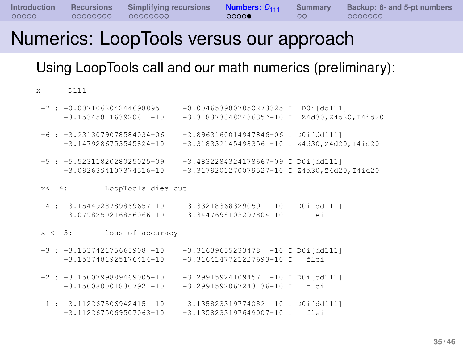## Numerics: LoopTools versus our approach

Using LoopTools call and our math numerics (preliminary):

x D111

 $-7$  :  $-0.007106204244698895$   $+0.0046539807850273325$  I D0i[dd111] -3.15345811639208 -10 -3.318373348243635'-10 I Z4d30,Z4d20,I4id20  $-6$  :  $-3.2313079078584034-06$   $-2.8963160014947846-06$  I D0i[dd111]  $-3.1479286753545824-10$   $-3.318332145498356 -10$  I Z4d30,Z4d20,I4id20  $-5$  :  $-5.5231182028025025-09$   $+3.4832284324178667-09$  T D0i[dd1111]  $-3.0926394107374516-10$   $-3.3179201270079527-10$  I Z4d30,Z4d20,I4id20 x< -4: LoopTools dies out  $-4$  :  $-3.1544928789869657-10$   $-3.33218368329059$   $-10$  I D0i[dd111]  $-3.0798250216856066-10 = 3.3447698103297804-10$  T flai  $x < -3$ : loss of accuracy  $-3$  :  $-3.153742175665908 -10$   $-3.31639655233478$   $-10$  I D0i[dd111] -3.1537481925176414-10 -3.3164147721227693-10 I flei  $-2$  :  $-3.1500799889469005-10$   $-3.29915924109457$   $-10$  T D0i[dd111]  $-3.150080001830792 -10 -3.2991592067243136 -10$  T flei  $-1$  :  $-3.112267506942415 -10$   $-3.135823319774082 -10$  T D0i[dd1111] -3.1122675069507063-10 -3.1358233197649007-10 I flei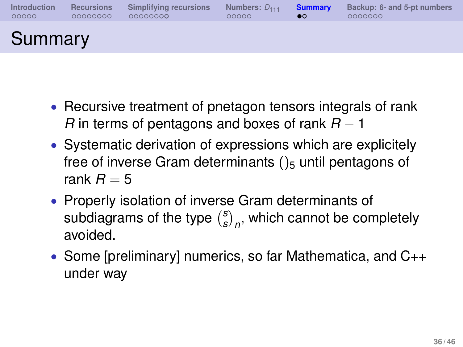| Introduction | <b>Recursions</b> | Simplifying recursions | Numbers: $D_{111}$ | <b>Summary</b> | Backup: 6- and 5-pt numbers |
|--------------|-------------------|------------------------|--------------------|----------------|-----------------------------|
| 00000        | 00000000          | 00000000               | 00000              | စဝ             | 0000000                     |
| Summary      |                   |                        |                    |                |                             |

- Recursive treatment of pnetagon tensors integrals of rank *R* in terms of pentagons and boxes of rank *R* − 1
- Systematic derivation of expressions which are explicitely free of inverse Gram determinants  $()_5$  until pentagons of rank  $R = 5$
- Properly isolation of inverse Gram determinants of subdiagrams of the type *s*  $\binom{s}{s}_n$ , which cannot be completely avoided.
- <span id="page-35-0"></span>• Some [preliminary] numerics, so far Mathematica, and C++ under way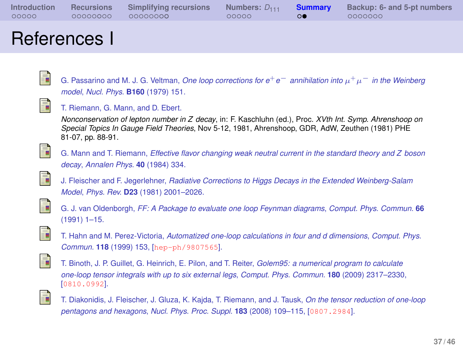| <b>Introduction</b> | Recursions | Simplifying recursions | Numbers: D <sub>111</sub> Summary | Backup: 6- and 5-pt numbers |
|---------------------|------------|------------------------|-----------------------------------|-----------------------------|
| 00000               | 00000000   | 00000000               | 00000                             | 0000000                     |
|                     |            |                        |                                   |                             |

### References I

<span id="page-36-0"></span>

G. Passarino and M. J. G. Veltman, *One loop corrections for e*+*e*<sup>−</sup> *annihilation into* µ <sup>+</sup>µ<sup>−</sup> *in the Weinberg model*, *Nucl. Phys.* **B160** (1979) 151.

<span id="page-36-1"></span>

T. Riemann, G. Mann, and D. Ebert.

*Nonconservation of lepton number in Z decay*, in: F. Kaschluhn (ed.), Proc. *XVth Int. Symp. Ahrenshoop on Special Topics In Gauge Field Theories*, Nov 5-12, 1981, Ahrenshoop, GDR, AdW, Zeuthen (1981) PHE 81-07, pp. 88-91.

<span id="page-36-2"></span>

<span id="page-36-3"></span>S.

G. Mann and T. Riemann, *Effective flavor changing weak neutral current in the standard theory and Z boson decay*, *Annalen Phys.* **40** (1984) 334.

J. Fleischer and F. Jegerlehner, *Radiative Corrections to Higgs Decays in the Extended Weinberg-Salam Model*, *Phys. Rev.* **D23** (1981) 2001–2026.

<span id="page-36-4"></span>

G. J. van Oldenborgh, *FF: A Package to evaluate one loop Feynman diagrams*, *Comput. Phys. Commun.* **66** (1991) 1–15.

<span id="page-36-5"></span>

T. Hahn and M. Perez-Victoria, *Automatized one-loop calculations in four and d dimensions*, *Comput. Phys. Commun.* **118** (1999) 153, [[hep-ph/9807565](http://xxx.lanl.gov/abs/hep-ph/9807565)].

<span id="page-36-6"></span>

T. Binoth, J. P. Guillet, G. Heinrich, E. Pilon, and T. Reiter, *Golem95: a numerical program to calculate one-loop tensor integrals with up to six external legs*, *Comput. Phys. Commun.* **180** (2009) 2317–2330, [[0810.0992](http://xxx.lanl.gov/abs/0810.0992)].

<span id="page-36-7"></span>

T. Diakonidis, J. Fleischer, J. Gluza, K. Kajda, T. Riemann, and J. Tausk, *On the tensor reduction of one-loop pentagons and hexagons*, *Nucl. Phys. Proc. Suppl.* **183** (2008) 109–115, [[0807.2984](http://xxx.lanl.gov/abs/0807.2984)].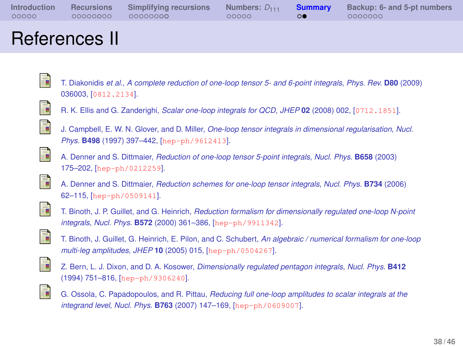| Introduction | Recursions | Simplifying recursions | Numbers: D <sub>111</sub> Summary |    | Backup: 6- and 5-pt numbers |
|--------------|------------|------------------------|-----------------------------------|----|-----------------------------|
| 00000        | 00000000   | 00000000               | 00000                             | രെ | 0000000                     |
|              |            |                        |                                   |    |                             |

### References II

<span id="page-37-0"></span>F. T. Diakonidis *et al.*, *A complete reduction of one-loop tensor 5- and 6-point integrals*, *Phys. Rev.* **D80** (2009) 036003, [[0812.2134](http://xxx.lanl.gov/abs/0812.2134)].

<span id="page-37-1"></span>

R. K. Ellis and G. Zanderighi, *Scalar one-loop integrals for QCD*, *JHEP* **02** (2008) 002, [[0712.1851](http://xxx.lanl.gov/abs/0712.1851)].

<span id="page-37-2"></span>

J. Campbell, E. W. N. Glover, and D. Miller, *One-loop tensor integrals in dimensional regularisation*, *Nucl. Phys.* **B498** (1997) 397–442, [[hep-ph/9612413](http://xxx.lanl.gov/abs/hep-ph/9612413)].

<span id="page-37-3"></span>

<span id="page-37-4"></span>晶

- A. Denner and S. Dittmaier, *Reduction of one-loop tensor 5-point integrals*, *Nucl. Phys.* **B658** (2003) 175–202, [[hep-ph/0212259](http://xxx.lanl.gov/abs/hep-ph/0212259)].
- A. Denner and S. Dittmaier, *Reduction schemes for one-loop tensor integrals*, *Nucl. Phys.* **B734** (2006) 62–115, [[hep-ph/0509141](http://xxx.lanl.gov/abs/hep-ph/0509141)].

<span id="page-37-5"></span>

T. Binoth, J. P. Guillet, and G. Heinrich, *Reduction formalism for dimensionally regulated one-loop N-point integrals*, *Nucl. Phys.* **B572** (2000) 361–386, [[hep-ph/9911342](http://xxx.lanl.gov/abs/hep-ph/9911342)].

<span id="page-37-6"></span>

T. Binoth, J. Guillet, G. Heinrich, E. Pilon, and C. Schubert, *An algebraic / numerical formalism for one-loop multi-leg amplitudes*, *JHEP* **10** (2005) 015, [[hep-ph/0504267](http://xxx.lanl.gov/abs/hep-ph/0504267)].

<span id="page-37-7"></span>

<span id="page-37-8"></span>譶

- Z. Bern, L. J. Dixon, and D. A. Kosower, *Dimensionally regulated pentagon integrals*, *Nucl. Phys.* **B412** (1994) 751–816, [[hep-ph/9306240](http://xxx.lanl.gov/abs/hep-ph/9306240)].
- G. Ossola, C. Papadopoulos, and R. Pittau, *Reducing full one-loop amplitudes to scalar integrals at the integrand level*, *Nucl. Phys.* **B763** (2007) 147–169, [[hep-ph/0609007](http://xxx.lanl.gov/abs/hep-ph/0609007)].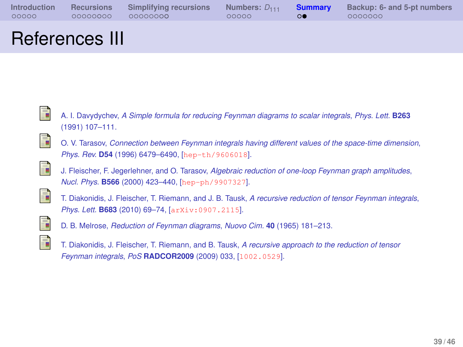| Introduction<br>00000 | 00000000 | Recursions Simplifying recursions<br>00000000 | Numbers: $D_{111}$ Summary<br>ooooo | $\Omega$ | Backup: 6- and 5-pt numbers<br>0000000 |
|-----------------------|----------|-----------------------------------------------|-------------------------------------|----------|----------------------------------------|
| $\sim$                |          |                                               |                                     |          |                                        |

### References III

<span id="page-38-0"></span>

<span id="page-38-1"></span>譶

- A. I. Davydychev, *A Simple formula for reducing Feynman diagrams to scalar integrals*, *Phys. Lett.* **B263** (1991) 107–111.
- O. V. Tarasov, *Connection between Feynman integrals having different values of the space-time dimension*, *Phys. Rev.* **D54** (1996) 6479–6490, [[hep-th/9606018](http://xxx.lanl.gov/abs/hep-th/9606018)].

<span id="page-38-2"></span>

J. Fleischer, F. Jegerlehner, and O. Tarasov, *Algebraic reduction of one-loop Feynman graph amplitudes*, *Nucl. Phys.* **B566** (2000) 423–440, [[hep-ph/9907327](http://xxx.lanl.gov/abs/hep-ph/9907327)].

<span id="page-38-3"></span>

T. Diakonidis, J. Fleischer, T. Riemann, and J. B. Tausk, *A recursive reduction of tensor Feynman integrals*, *Phys. Lett.* **B683** (2010) 69–74, [[arXiv:0907.2115](http://xxx.lanl.gov/abs/arXiv:0907.2115)].

<span id="page-38-4"></span>

D. B. Melrose, *Reduction of Feynman diagrams*, *Nuovo Cim.* **40** (1965) 181–213.

<span id="page-38-5"></span>

T. Diakonidis, J. Fleischer, T. Riemann, and B. Tausk, *A recursive approach to the reduction of tensor Feynman integrals*, *PoS* **RADCOR2009** (2009) 033, [[1002.0529](http://xxx.lanl.gov/abs/1002.0529)].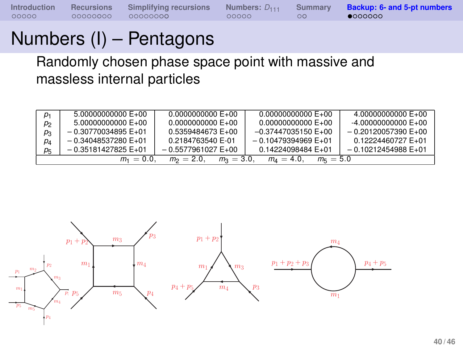**[Introduction](#page-2-0) [Recursions](#page-7-0) [Simplifying recursions](#page-16-0) [Numbers:](#page-30-0)**  $D_{111}$  **[Summary](#page-35-0) [Backup: 6- and 5-pt numbers](#page-39-0)**<br>000000 00000000 00000000 000000 00000 00

# Numbers (I) – Pentagons

Randomly chosen phase space point with massive and massless internal particles

| $p_1$          | $5.000000000000E+00$                                                        | $0.00000000000E+00$ | $0.00000000000E+00$     | $4.00000000000E+00$     |  |  |  |  |
|----------------|-----------------------------------------------------------------------------|---------------------|-------------------------|-------------------------|--|--|--|--|
| p <sub>2</sub> | $5.000000000000E+00$                                                        | $0.00000000000E+00$ | $0.000000000000E+00$    | $-4.00000000000E+00$    |  |  |  |  |
| $p_3$          | $-0.30770034895 E+01$                                                       | 0.5359484673 E+00   | $-0.37447035150 E+00$   | $-0.20120057390 E + 00$ |  |  |  |  |
| $p_4$          | $-0.34048537280 E+01$                                                       | 0.2184763540 E-01   | $-0.10479394969 E + 01$ | 0.12224460727 E+01      |  |  |  |  |
| р5             | $-0.35181427825E+01$                                                        | $-0.5577961027E+00$ | 0.14224098484 E+01      | $-0.10212454988E+01$    |  |  |  |  |
|                | $m_1 = 0.0$ .<br>$m_2 = 2.0$<br>$m_2 = 3.0$<br>$m_A = 4.0$<br>$m_{5} = 5.0$ |                     |                         |                         |  |  |  |  |

<span id="page-39-0"></span>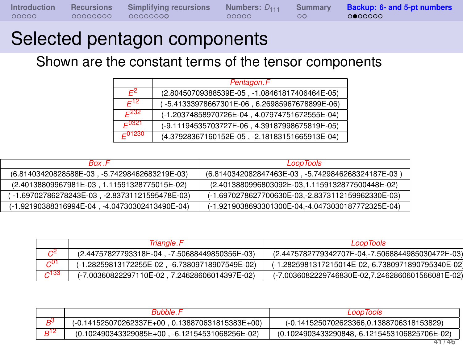| <b>Introduction</b> | Recursions | Simplifying recursions | Numbers: $D_{111}$ | Summary Backup: 6- and 5-pt numbers |
|---------------------|------------|------------------------|--------------------|-------------------------------------|
| 00000               | 00000000   | 00000000               | 00000              | 0000000                             |

## Selected pentagon components

Shown are the constant terms of the tensor components

|                                                        | Pentagon.F                                    |  |  |  |  |
|--------------------------------------------------------|-----------------------------------------------|--|--|--|--|
| $F^2$<br>(2.80450709388539E-05, -1.08461817406464E-05) |                                               |  |  |  |  |
| $F^{12}$                                               | (-5.41333978667301E-06, 6.26985967678899E-06) |  |  |  |  |
| $F^{232}$                                              | (-1.20374858970726E-04, 4.07974751672555E-04) |  |  |  |  |
| $E^{0321}$                                             | (-9.11194535703727E-06, 4.39187998675819E-05) |  |  |  |  |
| $E^{01230}$                                            | (4.37928367160152E-05, -2.18183151665913E-04) |  |  |  |  |

| <b>Box</b> F                                   | <b>LoopTools</b>                                  |
|------------------------------------------------|---------------------------------------------------|
| (6.81403420828588E-03, -5.74298462683219E-03)  | (6.8140342082847463E-03, -5.7429846268324187E-03) |
| (2.40138809967981E-03, 1.11591328775015E-02)   | (2.4013880996803092E-03,1.1159132877500448E-02)   |
| -1.69702786278243E-03, -2.83731121595478E-03)  | (-1.6970278627700630E-03,-2.8373112159962330E-03) |
| (-1.92190388316994E-04, -4.04730302413490E-04) | (-1.9219038693301300E-04,-4.0473030187772325E-04) |

|            | Triangle.F                                     | LoopTools                                         |
|------------|------------------------------------------------|---------------------------------------------------|
|            | (2.44757827793318E-04, -7.50688449850356E-03)  | (2.4475782779342707E-04,-7.5068844985030472E-03)  |
| $\sim$ 01  | (-1.28259813172255E-02, -6.73809718907549E-02) | (-1.2825981317215014E-02,-6.7380971890795340E-02) |
| $\sim$ 133 | (-7.00360822297110E-02, 7.24628606014397E-02)  | (-7.0036082229746830E-02,7.2462860601566081E-02)  |

|     | Bubble                                            | LoopTools                                    |  |  |
|-----|---------------------------------------------------|----------------------------------------------|--|--|
|     | $(-0.141525070262337E+00, 0.138870631815383E+00)$ | (-0.1415250702623366,0.1388706318153829)     |  |  |
| 12م | (0.102490343329085E+00, -6.12154531068256E-02)    | (0.1024903433290848,-6.1215453106825706E-02) |  |  |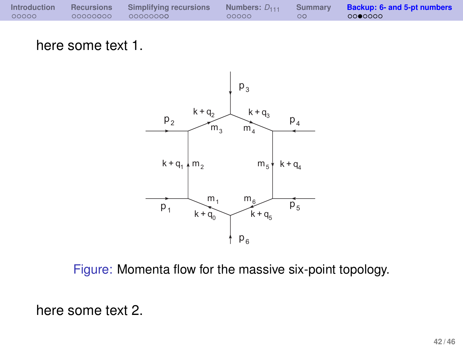| <b>Introduction</b> | Recursions | Simplifying recursions | Numbers: $D_{111}$ | Summary <b>Backup: 6- and 5-pt numbers</b> |
|---------------------|------------|------------------------|--------------------|--------------------------------------------|
| 00000               | 00000000   | 00000000               | 00000              | 0000000                                    |

here some text 1.



Figure: Momenta flow for the massive six-point topology.

here some text 2.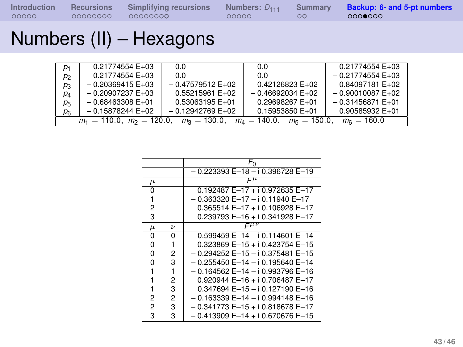# Numbers (II) – Hexagons

| p <sub>1</sub>                                                                                         | 0.21774554 E+03    | 0.0                | 0.0               | $0.21774554E+03$  |  |  |
|--------------------------------------------------------------------------------------------------------|--------------------|--------------------|-------------------|-------------------|--|--|
| p <sub>2</sub>                                                                                         | 0.21774554 E+03    | 0.0                | 0.0               | $-0.21774554E+03$ |  |  |
| $p_3$                                                                                                  | $-0.20369415 E+03$ | $-0.47579512E+02$  | 0.42126823 E+02   | 0.84097181 E+02   |  |  |
| $p_4$                                                                                                  | $-0.20907237 E+03$ | 0.55215961 E+02    | $-0.46692034E+02$ | $-0.90010087E+02$ |  |  |
| p <sub>5</sub>                                                                                         | $-0.68463308 E+01$ | 0.53063195 E+01    | 0.29698267 E+01   | $-0.31456871E+01$ |  |  |
| p <sub>6</sub>                                                                                         | $-0.15878244 E+02$ | $-0.12942769 E+02$ | 0.15953850 E+01   | 0.90585932 E+01   |  |  |
| $m_1 = 110.0$ , $m_2 = 120.0$ , $m_3 = 130.0$ , $m_4 = 140.0$ , $m_5 = 150.0$ ,<br>$m_{\rm B} = 160.0$ |                    |                    |                   |                   |  |  |

|       |                    | $F_0$                                    |  |  |  |
|-------|--------------------|------------------------------------------|--|--|--|
|       |                    | - 0.223393 E-18 - i 0.396728 E-19        |  |  |  |
| $\mu$ |                    |                                          |  |  |  |
| 0     |                    | $0.192487 E - 17 + i 0.972635 E - 17$    |  |  |  |
|       |                    | $-0.363320 E-17 - i 0.11940 E-17$        |  |  |  |
| 2     |                    | $0.365514 E-17 + i 0.106928 E-17$        |  |  |  |
| 3     |                    | 0.239793 E-16 + i 0.341928 E-17          |  |  |  |
| $\mu$ | $\boldsymbol{\nu}$ |                                          |  |  |  |
| 0     | ŋ                  | 0.599459 E-14 - i 0.114601 E-14          |  |  |  |
| 0     |                    | $0.323869$ E-15 + i 0.423754 E-15        |  |  |  |
| 0     | 2                  | $-0.294252$ E $-15 - i 0.375481$ E $-15$ |  |  |  |
| O     | 3                  | - 0.255450 E-14 - i 0.195640 E-14        |  |  |  |
|       |                    | - 0.164562 E-14 - i 0.993796 E-16        |  |  |  |
|       | 2                  | $0.920944 E-16 + i 0.706487 E-17$        |  |  |  |
|       | 3                  | 0.347694 E-15 - i 0.127190 E-16          |  |  |  |
| 2     | 2                  | - 0.163339 E-14 - i 0.994148 E-16        |  |  |  |
| 2     | 3                  | $-0.341773 E-15 + i 0.818678 E-17$       |  |  |  |
| 3     | 3                  | $-0.413909$ E-14 + i 0.670676 E-15       |  |  |  |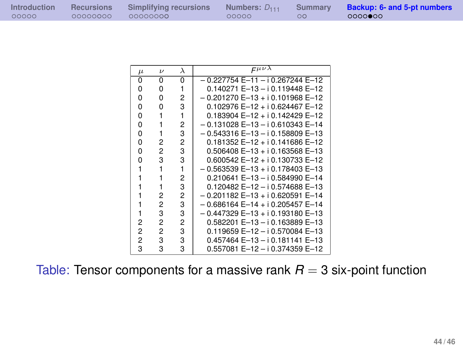| ntroduction | <b>Recursions</b> | Simplifying red |
|-------------|-------------------|-----------------|
| 20000       | 00000000          | 00000000        |

**Interview Sumbers:**  $D_{111}$  **[Summary](#page-35-0) [Backup: 6- and 5-pt numbers](#page-39-0)**<br> $\begin{matrix}\n00000 \\
000000\n\end{matrix}$ 

| $\mu$          | $\boldsymbol{\nu}$ | λ | $F^{\mu\nu\lambda}$                      |
|----------------|--------------------|---|------------------------------------------|
| 0              | 0                  | 0 | 0.227754 E-11 - i 0.267244 E-12          |
| n              | n                  |   | 0.140271 E-13 - i 0.119448 E-12          |
| 0              | n                  | 2 | $-0.201270E - 13 + i 0.101968E - 12$     |
| 0              | ŋ                  | 3 | $0.102976 E - 12 + i 0.624467 E - 12$    |
| 0              |                    | 1 | 0.183904 E-12 + i 0.142429 E-12          |
| 0              |                    | 2 | $-0.131028$ E-13 - i 0.610343 E-14       |
| 0              |                    | 3 | - 0.543316 E-13 - i 0.158809 E-13        |
| 0              | 2                  | 2 | $0.181352 E-12 + i 0.141686 E-12$        |
| 0              | 2                  | 3 | $0.506408 E - 13 + i 0.163568 E - 13$    |
| n              | 3                  | 3 | 0.600542 E-12 + i 0.130733 E-12          |
|                |                    | 1 | - 0.563539 E-13 + i 0.178403 E-13        |
|                |                    | 2 | 0.210641 E-13 - i 0.584990 E-14          |
|                |                    | 3 | 0.120482 E-12 - i 0.574688 E-13          |
|                | 2                  | 2 | $-0.201182$ E $-13 + i 0.620591$ E $-14$ |
|                | 2                  | 3 | $-0.686164 E-14 + i 0.205457 E-14$       |
|                | 3                  | 3 | – 0.447329 E–13 + i 0.193180 E–13        |
| 2              | 2                  | 2 | 0.582201 E-13 - i 0.163889 E-13          |
| $\overline{c}$ | 2                  | 3 | 0.119659 E-12 - i 0.570084 E-13          |
| 2              | 3                  | 3 | 0.457464 E-13 - i 0.181141 E-13          |
| 3              | 3                  | 3 | 0.557081 E–12 – i 0.374359 E–12          |

Table: Tensor components for a massive rank  $R = 3$  six-point function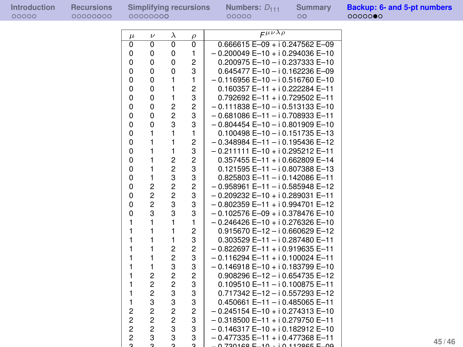| Introduction | Recul |
|--------------|-------|
| 00000        | 0000  |

| $\mu$          | $\boldsymbol{\nu}$ | $\lambda$      | $\rho$                    | $F^{\mu\nu\lambda\rho}$               |
|----------------|--------------------|----------------|---------------------------|---------------------------------------|
| $\overline{0}$ | $\overline{0}$     | $\overline{0}$ | $\overline{\mathfrak{o}}$ | $0.666615 E - 09 + i 0.247562 E - 09$ |
| $\Omega$       | 0                  | 0              | 1                         | $-0.200049 E-10 + i 0.294036 E-10$    |
| 0              | 0                  | 0              | $\overline{2}$            | 0.200975 E-10 - i 0.237333 E-10       |
| $\Omega$       | 0                  | 0              | 3                         | 0.645477 E-10-i 0.162236 E-09         |
| 0              | 0                  | $\mathbf{1}$   | 1                         | $-0.116956 E-10 - i 0.516760 E-10$    |
| $\Omega$       | 0                  | $\mathbf{1}$   | $\overline{2}$            | $0.160357 E-11 + i 0.222284 E-11$     |
| 0              | 0                  | $\mathbf{1}$   | 3                         | 0.792692 E-11 + i 0.729502 E-11       |
| 0              | 0                  | $\overline{c}$ | $\overline{c}$            | $-0.111838 E-10 - i 0.513133 E-10$    |
| 0              | 0                  | $\overline{c}$ | 3                         | $-0.681086 E-11 - i 0.708933 E-11$    |
| 0              | 0                  | 3              | 3                         | $-0.804454 E-10 - i 0.801909 E-10$    |
| 0              | 1                  | $\mathbf{1}$   | $\mathbf{1}$              | $0.100498 E - 10 - i 0.151735 E - 13$ |
| 0              | 1                  | $\mathbf{1}$   | $\overline{2}$            | $-0.348984 E-11 - i 0.195436 E-12$    |
| $\Omega$       | 1                  | $\mathbf{1}$   | 3                         | $-0.211111 E-10 + i 0.295212 E-11$    |
| $\Omega$       | 1                  | $\overline{c}$ | $\overline{2}$            | 0.357455 E-11 + i 0.662809 E-14       |
| $\Omega$       | 1                  | $\overline{c}$ | 3                         | $0.121595 E-11 - i 0.807388 E-13$     |
| $\mathbf 0$    | $\mathbf{1}$       | 3              | 3                         | $0.825803$ E-11 - i 0.142086 E-11     |
| $\Omega$       | $\overline{2}$     | $\overline{c}$ | $\overline{2}$            | $-0.958961 E-11 - i 0.585948 E-12$    |
| 0              | $\overline{c}$     | $\overline{c}$ | 3                         | - 0.209232 E-10 + i 0.289031 E-11     |
| $\Omega$       | $\overline{c}$     | 3              | 3                         | - 0.802359 E-11 + i 0.994701 E-12     |
| 0              | 3                  | 3              | 3                         | $-0.102576 E-09 + i 0.378476 E-10$    |
| $\mathbf{1}$   | $\mathbf{1}$       | $\mathbf{1}$   | $\mathbf{1}$              | $-0.246426 E-10 + i 0.276326 E-10$    |
| $\mathbf{1}$   | 1                  | $\mathbf{1}$   | $\overline{2}$            | $0.915670 E - 12 - i 0.660629 E - 12$ |
| 1              | 1                  | $\mathbf{1}$   | 3                         | 0.303529 E-11-i 0.287480 E-11         |
| 1              | 1                  | $\overline{2}$ | $\overline{2}$            | $-0.822697 E-11 + i 0.919635 E-11$    |
| 1              | 1                  | $\overline{2}$ | 3                         | $-0.116294 E-11 + i 0.100024 E-11$    |
| 1              | 1                  | 3              | 3                         | $-0.146918 E-10 + i 0.183799 E-10$    |
| 1              | $\overline{c}$     | $\overline{c}$ | $\overline{2}$            | 0.908296 E-12-i 0.654735 E-12         |
| 1              | $\overline{c}$     | $\overline{2}$ | 3                         | $0.109510 E-11 - i 0.100875 E-11$     |
| 1              | $\overline{c}$     | 3              | 3                         | 0.717342 E-12 - i 0.557293 E-12       |
| $\mathbf{1}$   | 3                  | 3              | 3                         | $0.450661 E-11 - i 0.485065 E-11$     |
| $\overline{c}$ | 2                  | $\overline{c}$ | $\overline{2}$            | $-0.245154 E-10 + i 0.274313 E-10$    |
| $\overline{2}$ | $\overline{c}$     | $\overline{c}$ | 3                         | $-0.318500 E-11 + i 0.279750 E-11$    |
| $\overline{c}$ | $\overline{c}$     | 3              | 3                         | $-0.146317 E-10 + i 0.182912 E-10$    |
| $\overline{2}$ | 3                  | 3              | 3                         | $-0.477335 E-11 + i 0.477368 E-11$    |
| o              | $\sim$             |                | o                         | 0.720169E 10.1011296E E 00            |